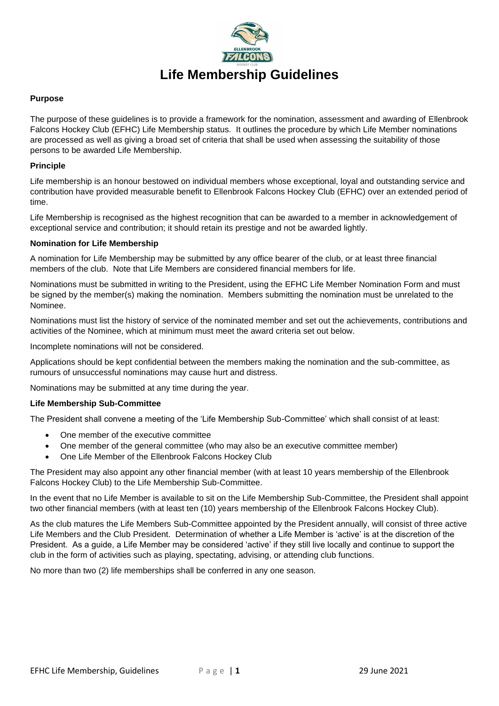

## **Purpose**

The purpose of these guidelines is to provide a framework for the nomination, assessment and awarding of Ellenbrook Falcons Hockey Club (EFHC) Life Membership status. It outlines the procedure by which Life Member nominations are processed as well as giving a broad set of criteria that shall be used when assessing the suitability of those persons to be awarded Life Membership.

## **Principle**

Life membership is an honour bestowed on individual members whose exceptional, loyal and outstanding service and contribution have provided measurable benefit to Ellenbrook Falcons Hockey Club (EFHC) over an extended period of time.

Life Membership is recognised as the highest recognition that can be awarded to a member in acknowledgement of exceptional service and contribution; it should retain its prestige and not be awarded lightly.

## **Nomination for Life Membership**

A nomination for Life Membership may be submitted by any office bearer of the club, or at least three financial members of the club. Note that Life Members are considered financial members for life.

Nominations must be submitted in writing to the President, using the EFHC Life Member Nomination Form and must be signed by the member(s) making the nomination. Members submitting the nomination must be unrelated to the Nominee.

Nominations must list the history of service of the nominated member and set out the achievements, contributions and activities of the Nominee, which at minimum must meet the award criteria set out below.

Incomplete nominations will not be considered.

Applications should be kept confidential between the members making the nomination and the sub-committee, as rumours of unsuccessful nominations may cause hurt and distress.

Nominations may be submitted at any time during the year.

# **Life Membership Sub-Committee**

The President shall convene a meeting of the 'Life Membership Sub-Committee' which shall consist of at least:

- One member of the executive committee
- One member of the general committee (who may also be an executive committee member)
- One Life Member of the Ellenbrook Falcons Hockey Club

The President may also appoint any other financial member (with at least 10 years membership of the Ellenbrook Falcons Hockey Club) to the Life Membership Sub-Committee.

In the event that no Life Member is available to sit on the Life Membership Sub-Committee, the President shall appoint two other financial members (with at least ten (10) years membership of the Ellenbrook Falcons Hockey Club).

As the club matures the Life Members Sub-Committee appointed by the President annually, will consist of three active Life Members and the Club President. Determination of whether a Life Member is 'active' is at the discretion of the President. As a guide, a Life Member may be considered 'active' if they still live locally and continue to support the club in the form of activities such as playing, spectating, advising, or attending club functions.

No more than two (2) life memberships shall be conferred in any one season.